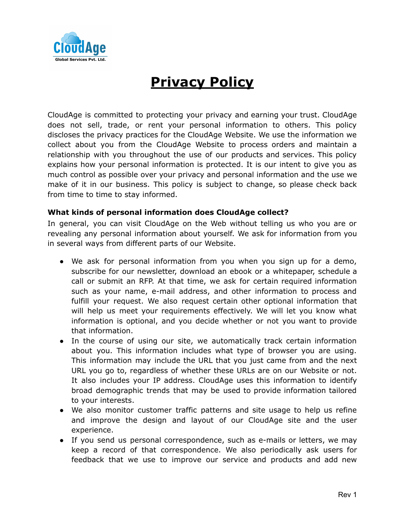

# **Privacy Policy**

CloudAge is committed to protecting your privacy and earning your trust. CloudAge does not sell, trade, or rent your personal information to others. This policy discloses the privacy practices for the CloudAge Website. We use the information we collect about you from the CloudAge Website to process orders and maintain a relationship with you throughout the use of our products and services. This policy explains how your personal information is protected. It is our intent to give you as much control as possible over your privacy and personal information and the use we make of it in our business. This policy is subject to change, so please check back from time to time to stay informed.

## **What kinds of personal information does CloudAge collect?**

In general, you can visit CloudAge on the Web without telling us who you are or revealing any personal information about yourself. We ask for information from you in several ways from different parts of our Website.

- We ask for personal information from you when you sign up for a demo, subscribe for our newsletter, download an ebook or a whitepaper, schedule a call or submit an RFP. At that time, we ask for certain required information such as your name, e-mail address, and other information to process and fulfill your request. We also request certain other optional information that will help us meet your requirements effectively. We will let you know what information is optional, and you decide whether or not you want to provide that information.
- In the course of using our site, we automatically track certain information about you. This information includes what type of browser you are using. This information may include the URL that you just came from and the next URL you go to, regardless of whether these URLs are on our Website or not. It also includes your IP address. CloudAge uses this information to identify broad demographic trends that may be used to provide information tailored to your interests.
- We also monitor customer traffic patterns and site usage to help us refine and improve the design and layout of our CloudAge site and the user experience.
- If you send us personal correspondence, such as e-mails or letters, we may keep a record of that correspondence. We also periodically ask users for feedback that we use to improve our service and products and add new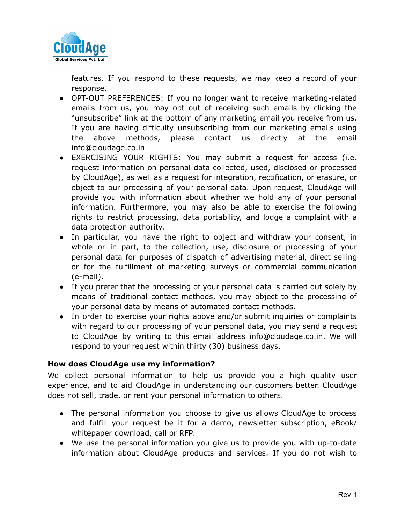

features. If you respond to these requests, we may keep a record of your response.

- OPT-OUT PREFERENCES: If you no longer want to receive marketing-related emails from us, you may opt out of receiving such emails by clicking the "unsubscribe" link at the bottom of any marketing email you receive from us. If you are having difficulty unsubscribing from our marketing emails using the above methods, please contact us directly at the email info@cloudage.co.in
- EXERCISING YOUR RIGHTS: You may submit a request for access (i.e. request information on personal data collected, used, disclosed or processed by CloudAge), as well as a request for integration, rectification, or erasure, or object to our processing of your personal data. Upon request, CloudAge will provide you with information about whether we hold any of your personal information. Furthermore, you may also be able to exercise the following rights to restrict processing, data portability, and lodge a complaint with a data protection authority.
- In particular, you have the right to object and withdraw your consent, in whole or in part, to the collection, use, disclosure or processing of your personal data for purposes of dispatch of advertising material, direct selling or for the fulfillment of marketing surveys or commercial communication (e-mail).
- If you prefer that the processing of your personal data is carried out solely by means of traditional contact methods, you may object to the processing of your personal data by means of automated contact methods.
- In order to exercise your rights above and/or submit inquiries or complaints with regard to our processing of your personal data, you may send a request to CloudAge by writing to this email address info@cloudage.co.in. We will respond to your request within thirty (30) business days.

## **How does CloudAge use my information?**

We collect personal information to help us provide you a high quality user experience, and to aid CloudAge in understanding our customers better. CloudAge does not sell, trade, or rent your personal information to others.

- The personal information you choose to give us allows CloudAge to process and fulfill your request be it for a demo, newsletter subscription, eBook/ whitepaper download, call or RFP.
- We use the personal information you give us to provide you with up-to-date information about CloudAge products and services. If you do not wish to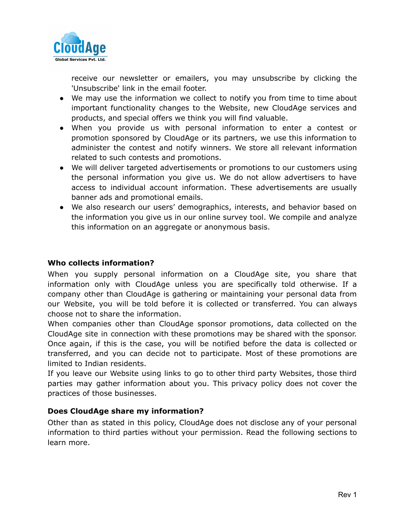

receive our newsletter or emailers, you may unsubscribe by clicking the 'Unsubscribe' link in the email footer.

- We may use the information we collect to notify you from time to time about important functionality changes to the Website, new CloudAge services and products, and special offers we think you will find valuable.
- When you provide us with personal information to enter a contest or promotion sponsored by CloudAge or its partners, we use this information to administer the contest and notify winners. We store all relevant information related to such contests and promotions.
- We will deliver targeted advertisements or promotions to our customers using the personal information you give us. We do not allow advertisers to have access to individual account information. These advertisements are usually banner ads and promotional emails.
- We also research our users' demographics, interests, and behavior based on the information you give us in our online survey tool. We compile and analyze this information on an aggregate or anonymous basis.

## **Who collects information?**

When you supply personal information on a CloudAge site, you share that information only with CloudAge unless you are specifically told otherwise. If a company other than CloudAge is gathering or maintaining your personal data from our Website, you will be told before it is collected or transferred. You can always choose not to share the information.

When companies other than CloudAge sponsor promotions, data collected on the CloudAge site in connection with these promotions may be shared with the sponsor. Once again, if this is the case, you will be notified before the data is collected or transferred, and you can decide not to participate. Most of these promotions are limited to Indian residents.

If you leave our Website using links to go to other third party Websites, those third parties may gather information about you. This privacy policy does not cover the practices of those businesses.

## **Does CloudAge share my information?**

Other than as stated in this policy, CloudAge does not disclose any of your personal information to third parties without your permission. Read the following sections to learn more.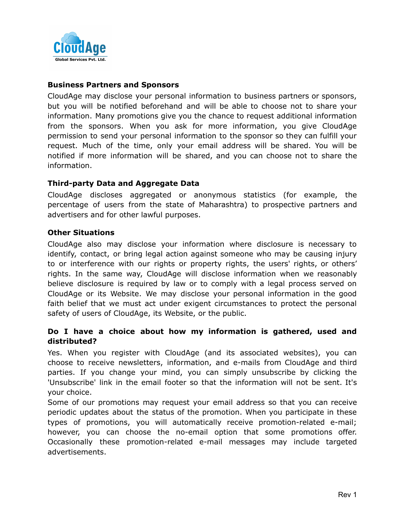

## **Business Partners and Sponsors**

CloudAge may disclose your personal information to business partners or sponsors, but you will be notified beforehand and will be able to choose not to share your information. Many promotions give you the chance to request additional information from the sponsors. When you ask for more information, you give CloudAge permission to send your personal information to the sponsor so they can fulfill your request. Much of the time, only your email address will be shared. You will be notified if more information will be shared, and you can choose not to share the information.

### **Third-party Data and Aggregate Data**

CloudAge discloses aggregated or anonymous statistics (for example, the percentage of users from the state of Maharashtra) to prospective partners and advertisers and for other lawful purposes.

## **Other Situations**

CloudAge also may disclose your information where disclosure is necessary to identify, contact, or bring legal action against someone who may be causing injury to or interference with our rights or property rights, the users' rights, or others' rights. In the same way, CloudAge will disclose information when we reasonably believe disclosure is required by law or to comply with a legal process served on CloudAge or its Website. We may disclose your personal information in the good faith belief that we must act under exigent circumstances to protect the personal safety of users of CloudAge, its Website, or the public.

## **Do I have a choice about how my information is gathered, used and distributed?**

Yes. When you register with CloudAge (and its associated websites), you can choose to receive newsletters, information, and e-mails from CloudAge and third parties. If you change your mind, you can simply unsubscribe by clicking the 'Unsubscribe' link in the email footer so that the information will not be sent. It's your choice.

Some of our promotions may request your email address so that you can receive periodic updates about the status of the promotion. When you participate in these types of promotions, you will automatically receive promotion-related e-mail; however, you can choose the no-email option that some promotions offer. Occasionally these promotion-related e-mail messages may include targeted advertisements.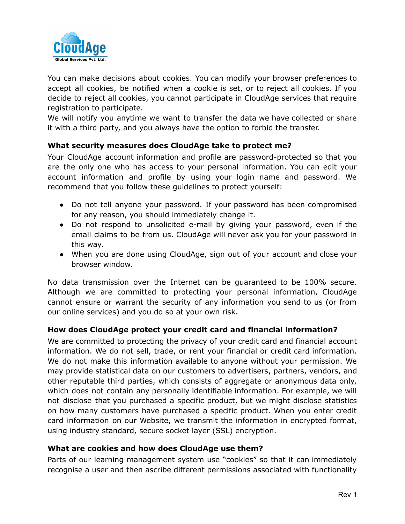

You can make decisions about cookies. You can modify your browser preferences to accept all cookies, be notified when a cookie is set, or to reject all cookies. If you decide to reject all cookies, you cannot participate in CloudAge services that require registration to participate.

We will notify you anytime we want to transfer the data we have collected or share it with a third party, and you always have the option to forbid the transfer.

# **What security measures does CloudAge take to protect me?**

Your CloudAge account information and profile are password-protected so that you are the only one who has access to your personal information. You can edit your account information and profile by using your login name and password. We recommend that you follow these guidelines to protect yourself:

- Do not tell anyone your password. If your password has been compromised for any reason, you should immediately change it.
- Do not respond to unsolicited e-mail by giving your password, even if the email claims to be from us. CloudAge will never ask you for your password in this way.
- When you are done using CloudAge, sign out of your account and close your browser window.

No data transmission over the Internet can be guaranteed to be 100% secure. Although we are committed to protecting your personal information, CloudAge cannot ensure or warrant the security of any information you send to us (or from our online services) and you do so at your own risk.

## **How does CloudAge protect your credit card and financial information?**

We are committed to protecting the privacy of your credit card and financial account information. We do not sell, trade, or rent your financial or credit card information. We do not make this information available to anyone without your permission. We may provide statistical data on our customers to advertisers, partners, vendors, and other reputable third parties, which consists of aggregate or anonymous data only, which does not contain any personally identifiable information. For example, we will not disclose that you purchased a specific product, but we might disclose statistics on how many customers have purchased a specific product. When you enter credit card information on our Website, we transmit the information in encrypted format, using industry standard, secure socket layer (SSL) encryption.

### **What are cookies and how does CloudAge use them?**

Parts of our learning management system use "cookies" so that it can immediately recognise a user and then ascribe different permissions associated with functionality